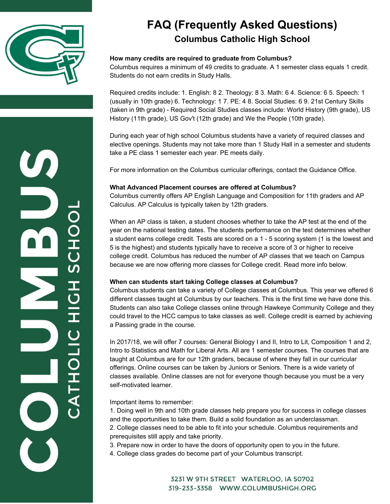

**USHOIN** 

 $\overline{\Omega}$ 

### **FAQ (Frequently Asked Questions) Columbus Catholic High School**

#### **How many credits are required to graduate from Columbus?**

Columbus requires a minimum of 49 credits to graduate. A 1 semester class equals 1 credit. Students do not earn credits in Study Halls.

Required credits include: 1. English: 8 2. Theology: 8 3. Math: 6 4. Science: 6 5. Speech: 1 (usually in 10th grade) 6. Technology: 1 7. PE: 4 8. Social Studies: 6 9. 21st Century Skills (taken in 9th grade) - Required Social Studies classes include: World History (9th grade), US History (11th grade), US Gov't (12th grade) and We the People (10th grade).

During each year of high school Columbus students have a variety of required classes and elective openings. Students may not take more than 1 Study Hall in a semester and students take a PE class 1 semester each year. PE meets daily.

For more information on the Columbus curricular offerings, contact the Guidance Office.

#### **What Advanced Placement courses are offered at Columbus?**

Columbus currently offers AP English Language and Composition for 11th graders and AP Calculus. AP Calculus is typically taken by 12th graders.

When an AP class is taken, a student chooses whether to take the AP test at the end of the year on the national testing dates. The students performance on the test determines whether a student earns college credit. Tests are scored on a 1 - 5 scoring system (1 is the lowest and 5 is the highest) and students typically have to receive a score of 3 or higher to receive college credit. Columbus has reduced the number of AP classes that we teach on Campus because we are now offering more classes for College credit. Read more info below.

#### **When can students start taking College classes at Columbus?**

Columbus students can take a variety of College classes at Columbus. This year we offered 6 different classes taught at Columbus by our teachers. This is the first time we have done this. Students can also take College classes online through Hawkeye Community College and they could travel to the HCC campus to take classes as well. College credit is earned by achieving a Passing grade in the course.

In 2017/18, we will offer 7 courses: General Biology I and II, Intro to Lit, Composition 1 and 2, Intro to Statistics and Math for Liberal Arts. All are 1 semester courses. The courses that are taught at Columbus are for our 12th graders, because of where they fall in our curricular offerings. Online courses can be taken by Juniors or Seniors. There is a wide variety of classes available. Online classes are not for everyone though because you must be a very self-motivated learner.

Important items to remember:

1. Doing well in 9th and 10th grade classes help prepare you for success in college classes and the opportunities to take them. Build a solid foundation as an underclassman.

2. College classes need to be able to fit into your schedule. Columbus requirements and prerequisites still apply and take priority.

3. Prepare now in order to have the doors of opportunity open to you in the future.

4. College class grades do become part of your Columbus transcript.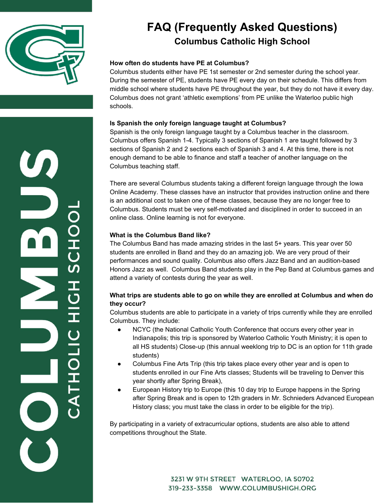

エしい エリニエ リニロエー

## **FAQ (Frequently Asked Questions) Columbus Catholic High School**

### **How often do students have PE at Columbus?**

Columbus students either have PE 1st semester or 2nd semester during the school year. During the semester of PE, students have PE every day on their schedule. This differs from middle school where students have PE throughout the year, but they do not have it every day. Columbus does not grant 'athletic exemptions' from PE unlike the Waterloo public high schools.

#### **Is Spanish the only foreign language taught at Columbus?**

Spanish is the only foreign language taught by a Columbus teacher in the classroom. Columbus offers Spanish 1-4. Typically 3 sections of Spanish 1 are taught followed by 3 sections of Spanish 2 and 2 sections each of Spanish 3 and 4. At this time, there is not enough demand to be able to finance and staff a teacher of another language on the Columbus teaching staff.

There are several Columbus students taking a different foreign language through the Iowa Online Academy. These classes have an instructor that provides instruction online and there is an additional cost to taken one of these classes, because they are no longer free to Columbus. Students must be very self-motivated and disciplined in order to succeed in an online class. Online learning is not for everyone.

#### **What is the Columbus Band like?**

The Columbus Band has made amazing strides in the last 5+ years. This year over 50 students are enrolled in Band and they do an amazing job. We are very proud of their performances and sound quality. Columbus also offers Jazz Band and an audition-based Honors Jazz as well. Columbus Band students play in the Pep Band at Columbus games and attend a variety of contests during the year as well.

#### **What trips are students able to go on while they are enrolled at Columbus and when do they occur?**

Columbus students are able to participate in a variety of trips currently while they are enrolled Columbus. They include:

- NCYC (the National Catholic Youth Conference that occurs every other year in Indianapolis; this trip is sponsored by Waterloo Catholic Youth Ministry; it is open to all HS students) Close-up (this annual weeklong trip to DC is an option for 11th grade students)
- Columbus Fine Arts Trip (this trip takes place every other year and is open to students enrolled in our Fine Arts classes; Students will be traveling to Denver this year shortly after Spring Break),
- European History trip to Europe (this 10 day trip to Europe happens in the Spring after Spring Break and is open to 12th graders in Mr. Schnieders Advanced European History class; you must take the class in order to be eligible for the trip).

By participating in a variety of extracurricular options, students are also able to attend competitions throughout the State.